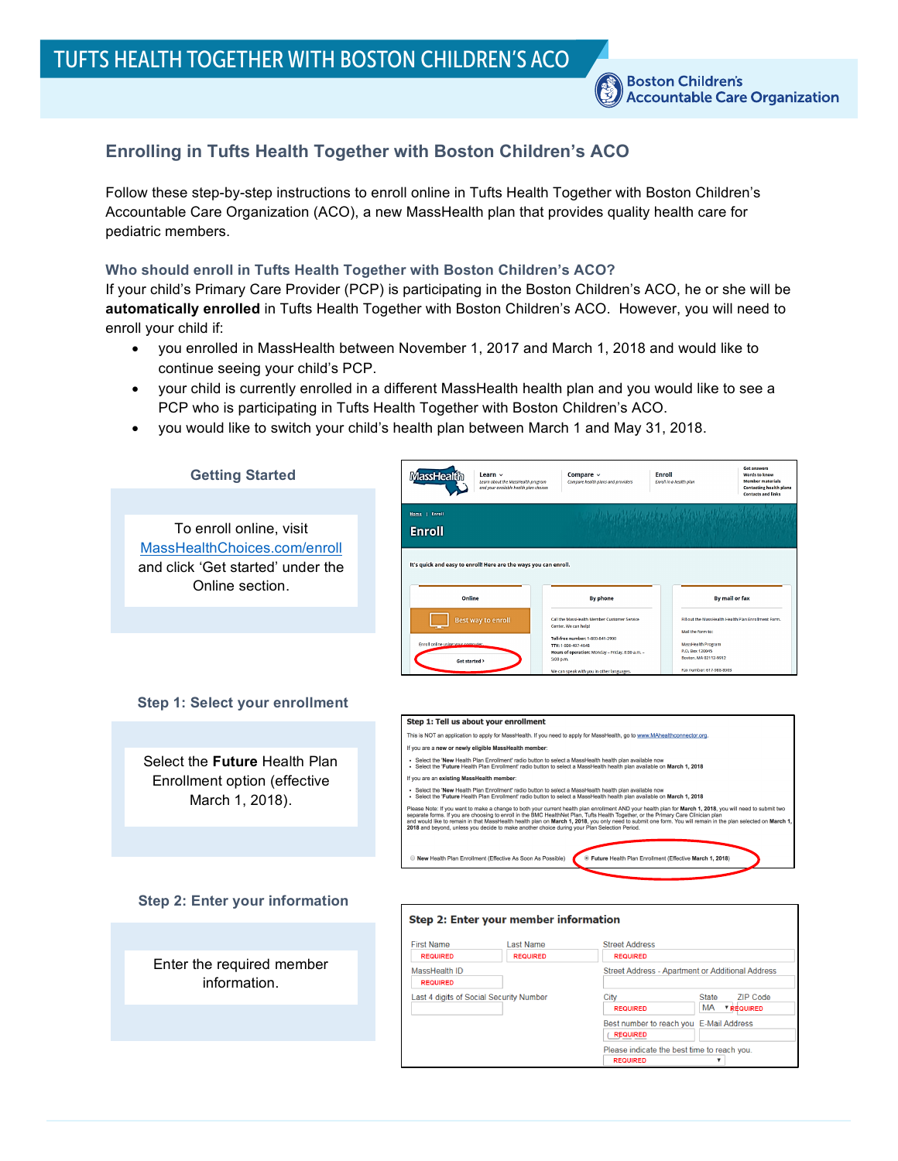# **Enrolling in Tufts Health Together with Boston Children's ACO**

Follow these step-by-step instructions to enroll online in Tufts Health Together with Boston Children's Accountable Care Organization (ACO), a new MassHealth plan that provides quality health care for pediatric members.

# **Who should enroll in Tufts Health Together with Boston Children's ACO?**

If your child's Primary Care Provider (PCP) is participating in the Boston Children's ACO, he or she will be **automatically enrolled** in Tufts Health Together with Boston Children's ACO. However, you will need to enroll your child if:

- you enrolled in MassHealth between November 1, 2017 and March 1, 2018 and would like to continue seeing your child's PCP.
- your child is currently enrolled in a different MassHealth health plan and you would like to see a PCP who is participating in Tufts Health Together with Boston Children's ACO.
- you would like to switch your child's health plan between March 1 and May 31, 2018.